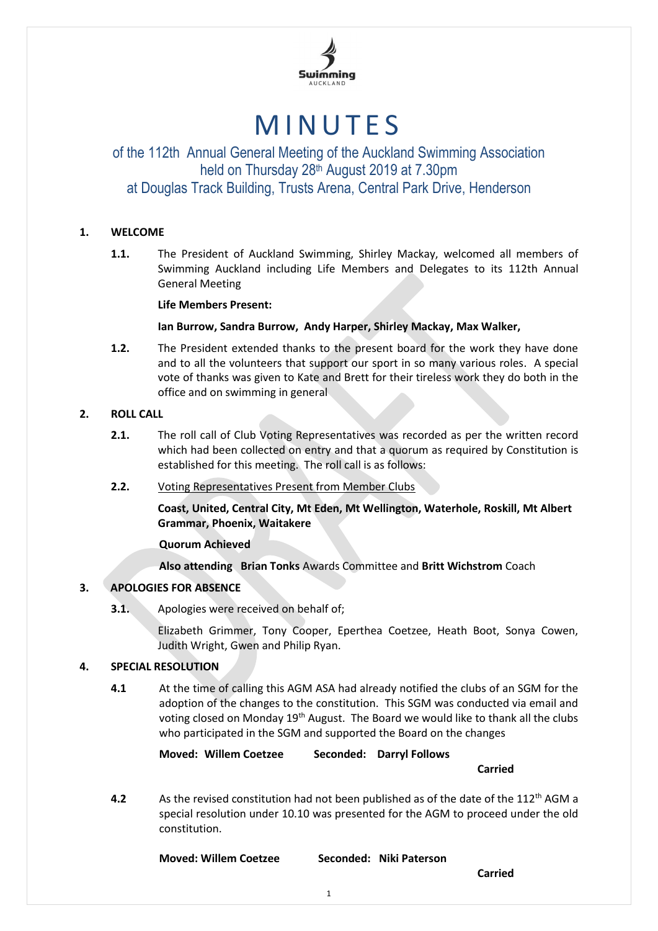

# **MINUTES**

## of the 112th Annual General Meeting of the Auckland Swimming Association held on Thursday 28th August 2019 at 7.30pm at Douglas Track Building, Trusts Arena, Central Park Drive, Henderson

## **1. WELCOME**

**1.1.** The President of Auckland Swimming, Shirley Mackay, welcomed all members of Swimming Auckland including Life Members and Delegates to its 112th Annual General Meeting

## **Life Members Present:**

## **Ian Burrow, Sandra Burrow, Andy Harper, Shirley Mackay, Max Walker,**

**1.2.** The President extended thanks to the present board for the work they have done and to all the volunteers that support our sport in so many various roles. A special vote of thanks was given to Kate and Brett for their tireless work they do both in the office and on swimming in general

## **2. ROLL CALL**

- **2.1.** The roll call of Club Voting Representatives was recorded as per the written record which had been collected on entry and that a quorum as required by Constitution is established for this meeting. The roll call is as follows:
- **2.2.** Voting Representatives Present from Member Clubs

**Coast, United, Central City, Mt Eden, Mt Wellington, Waterhole, Roskill, Mt Albert Grammar, Phoenix, Waitakere**

## **Quorum Achieved**

## **Also attending Brian Tonks** Awards Committee and **Britt Wichstrom** Coach

## **3. APOLOGIES FOR ABSENCE**

**3.1.** Apologies were received on behalf of;

Elizabeth Grimmer, Tony Cooper, Eperthea Coetzee, Heath Boot, Sonya Cowen, Judith Wright, Gwen and Philip Ryan.

## **4. SPECIAL RESOLUTION**

**4.1** At the time of calling this AGM ASA had already notified the clubs of an SGM for the adoption of the changes to the constitution. This SGM was conducted via email and voting closed on Monday  $19<sup>th</sup>$  August. The Board we would like to thank all the clubs who participated in the SGM and supported the Board on the changes

**Moved: Willem Coetzee Seconded: Darryl Follows**

**Carried**

**4.2** As the revised constitution had not been published as of the date of the 112<sup>th</sup> AGM a special resolution under 10.10 was presented for the AGM to proceed under the old constitution.

**Moved: Willem Coetzee Seconded: Niki Paterson**

**Carried**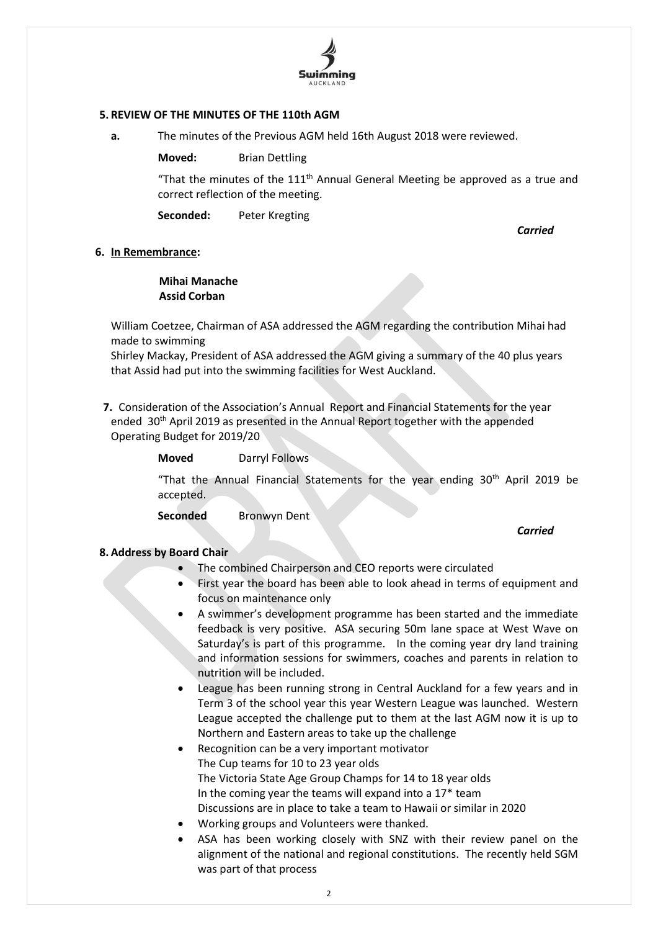

## **5. REVIEW OF THE MINUTES OF THE 110th AGM**

- **a.** The minutes of the Previous AGM held 16th August 2018 were reviewed.
	- **Moved:** Brian Dettling

"That the minutes of the  $111<sup>th</sup>$  Annual General Meeting be approved as a true and correct reflection of the meeting.

**Seconded:** Peter Kregting

*Carried*

## **6. In Remembrance:**

## **Mihai Manache Assid Corban**

William Coetzee, Chairman of ASA addressed the AGM regarding the contribution Mihai had made to swimming

Shirley Mackay, President of ASA addressed the AGM giving a summary of the 40 plus years that Assid had put into the swimming facilities for West Auckland.

**7.** Consideration of the Association's Annual Report and Financial Statements for the year ended 30<sup>th</sup> April 2019 as presented in the Annual Report together with the appended Operating Budget for 2019/20

"That the Annual Financial Statements for the year ending 30<sup>th</sup> April 2019 be accepted.

**Seconded** Bronwyn Dent

#### *Carried*

## **8. Address by Board Chair**

- The combined Chairperson and CEO reports were circulated
- First year the board has been able to look ahead in terms of equipment and focus on maintenance only
- A swimmer's development programme has been started and the immediate feedback is very positive. ASA securing 50m lane space at West Wave on Saturday's is part of this programme. In the coming year dry land training and information sessions for swimmers, coaches and parents in relation to nutrition will be included.
- League has been running strong in Central Auckland for a few years and in Term 3 of the school year this year Western League was launched. Western League accepted the challenge put to them at the last AGM now it is up to Northern and Eastern areas to take up the challenge
- Recognition can be a very important motivator The Cup teams for 10 to 23 year olds The Victoria State Age Group Champs for 14 to 18 year olds In the coming year the teams will expand into a  $17*$  team Discussions are in place to take a team to Hawaii or similar in 2020
- Working groups and Volunteers were thanked.
- ASA has been working closely with SNZ with their review panel on the alignment of the national and regional constitutions. The recently held SGM was part of that process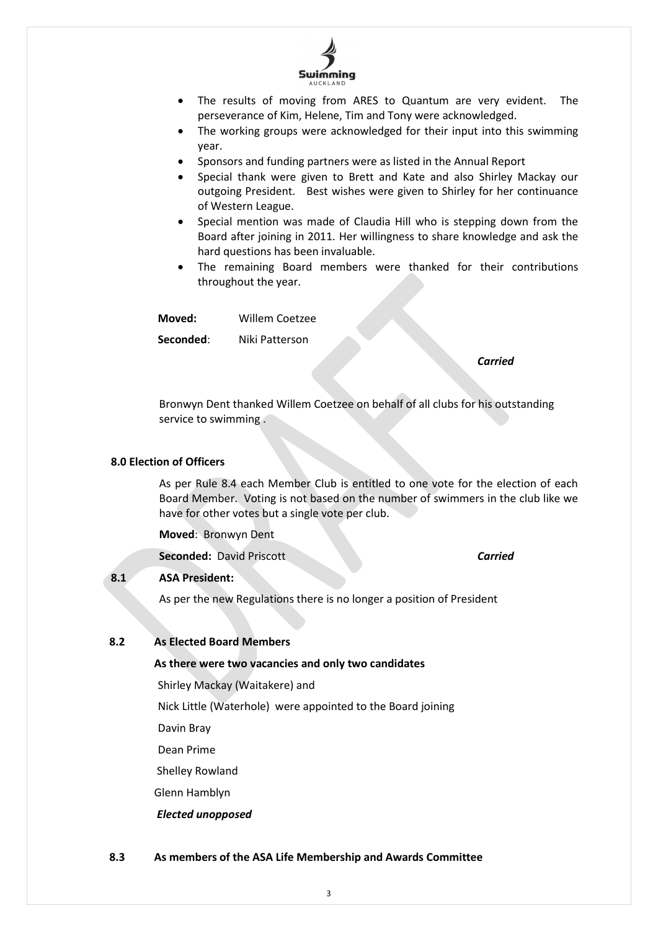

- The results of moving from ARES to Quantum are very evident. The perseverance of Kim, Helene, Tim and Tony were acknowledged.
- The working groups were acknowledged for their input into this swimming year.
- Sponsors and funding partners were as listed in the Annual Report
- Special thank were given to Brett and Kate and also Shirley Mackay our outgoing President. Best wishes were given to Shirley for her continuance of Western League.
- Special mention was made of Claudia Hill who is stepping down from the Board after joining in 2011. Her willingness to share knowledge and ask the hard questions has been invaluable.
- The remaining Board members were thanked for their contributions throughout the year.

**Moved:** Willem Coetzee

**Seconded**: Niki Patterson

#### *Carried*

Bronwyn Dent thanked Willem Coetzee on behalf of all clubs for his outstanding service to swimming .

#### **8.0 Election of Officers**

As per Rule 8.4 each Member Club is entitled to one vote for the election of each Board Member. Voting is not based on the number of swimmers in the club like we have for other votes but a single vote per club.

**Moved**: Bronwyn Dent

**Seconded:** David Priscott *Carried*

#### **8.1 ASA President:**

As per the new Regulations there is no longer a position of President

#### **8.2 As Elected Board Members**

**As there were two vacancies and only two candidates**

Shirley Mackay (Waitakere) and

Nick Little (Waterhole) were appointed to the Board joining

Davin Bray

Dean Prime

Shelley Rowland

Glenn Hamblyn

*Elected unopposed*

#### **8.3 As members of the ASA Life Membership and Awards Committee**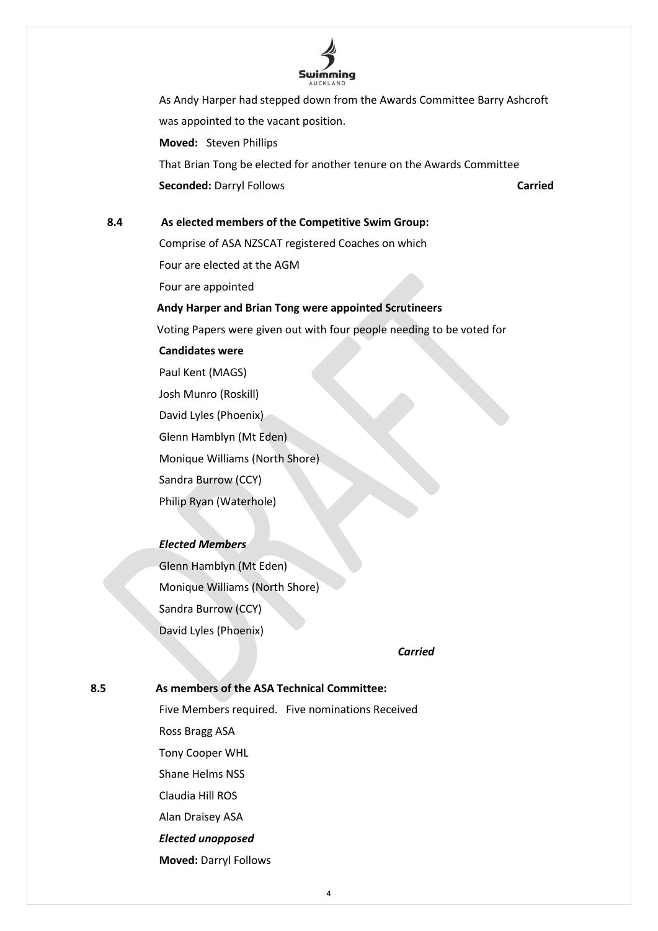

As Andy Harper had stepped down from the Awards Committee Barry Ashcroft was appointed to the vacant position. **Moved:** Steven Phillips

That Brian Tong be elected for another tenure on the Awards Committee **Seconded:** Darryl Follows **Carried** 

## **8.4 As elected members of the Competitive Swim Group:**

Comprise of ASA NZSCAT registered Coaches on which Four are elected at the AGM Four are appointed

## **Andy Harper and Brian Tong were appointed Scrutineers**

Voting Papers were given out with four people needing to be voted for

#### **Candidates were**

Paul Kent (MAGS) Josh Munro (Roskill) David Lyles (Phoenix) Glenn Hamblyn (Mt Eden) Monique Williams (North Shore) Sandra Burrow (CCY) Philip Ryan (Waterhole)

## *Elected Members*

Glenn Hamblyn (Mt Eden) Monique Williams (North Shore) Sandra Burrow (CCY) David Lyles (Phoenix)

*Carried*

#### **8.5 As members of the ASA Technical Committee:**

Five Members required. Five nominations Received Ross Bragg ASA Tony Cooper WHL Shane Helms NSS Claudia Hill ROS Alan Draisey ASA *Elected unopposed* **Moved:** Darryl Follows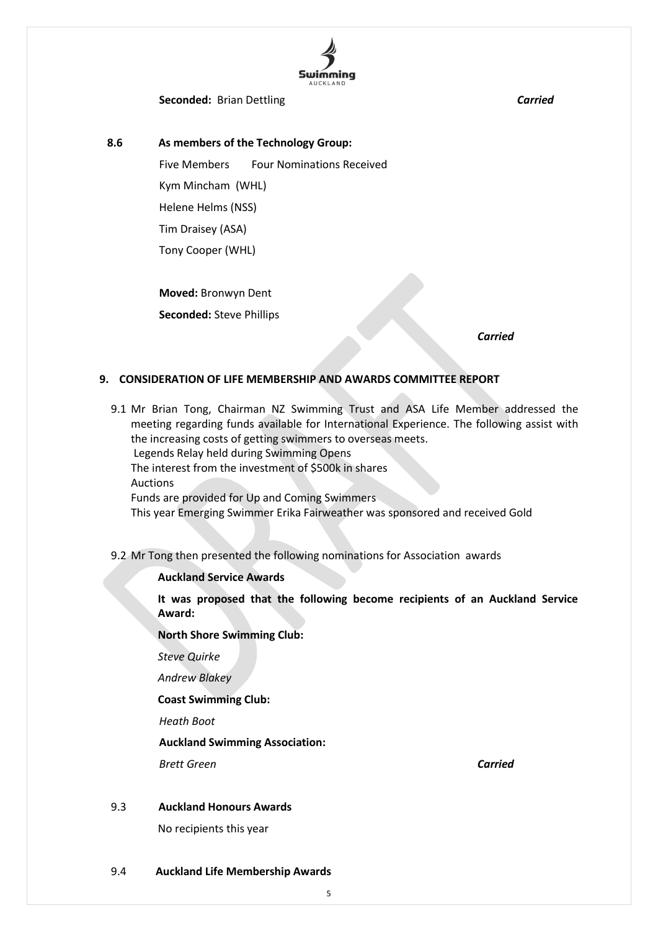

**Seconded:** Brian Dettling **Carried Carried** 

 **8.6 As members of the Technology Group:**

Five Members Four Nominations Received Kym Mincham (WHL)

Helene Helms (NSS)

Tim Draisey (ASA)

Tony Cooper (WHL)

**Moved:** Bronwyn Dent

**Seconded:** Steve Phillips

*Carried*

## **9. CONSIDERATION OF LIFE MEMBERSHIP AND AWARDS COMMITTEE REPORT**

- 9.1 Mr Brian Tong, Chairman NZ Swimming Trust and ASA Life Member addressed the meeting regarding funds available for International Experience. The following assist with the increasing costs of getting swimmers to overseas meets. Legends Relay held during Swimming Opens The interest from the investment of \$500k in shares Auctions Funds are provided for Up and Coming Swimmers This year Emerging Swimmer Erika Fairweather was sponsored and received Gold
- 9.2 Mr Tong then presented the following nominations for Association awards

## **Auckland Service Awards**

**It was proposed that the following become recipients of an Auckland Service Award:**

**North Shore Swimming Club:**

*Steve Quirke*

*Andrew Blakey*

**Coast Swimming Club:**

*Heath Boot*

**Auckland Swimming Association:**

*Brett Green Carried*

## 9.3 **Auckland Honours Awards**

No recipients this year

#### 9.4 **Auckland Life Membership Awards**